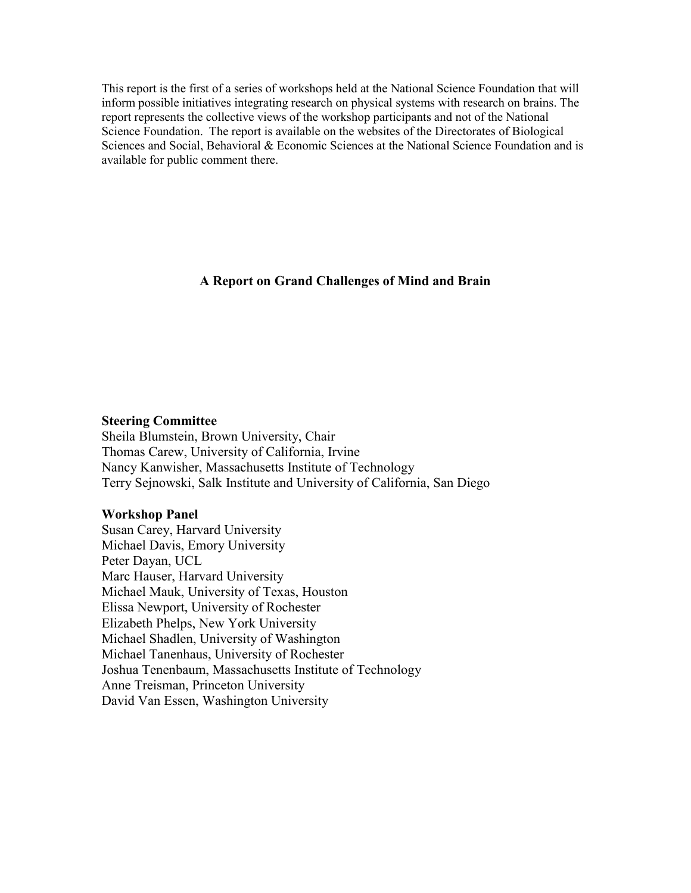This report is the first of a series of workshops held at the National Science Foundation that will inform possible initiatives integrating research on physical systems with research on brains. The report represents the collective views of the workshop participants and not of the National Science Foundation. The report is available on the websites of the Directorates of Biological Sciences and Social, Behavioral & Economic Sciences at the National Science Foundation and is available for public comment there.

# **A Report on Grand Challenges of Mind and Brain**

### **Steering Committee**

Sheila Blumstein, Brown University, Chair Thomas Carew, University of California, Irvine Nancy Kanwisher, Massachusetts Institute of Technology Terry Sejnowski, Salk Institute and University of California, San Diego

# **Workshop Panel**

Susan Carey, Harvard University Michael Davis, Emory University Peter Dayan, UCL Marc Hauser, Harvard University Michael Mauk, University of Texas, Houston Elissa Newport, University of Rochester Elizabeth Phelps, New York University Michael Shadlen, University of Washington Michael Tanenhaus, University of Rochester Joshua Tenenbaum, Massachusetts Institute of Technology Anne Treisman, Princeton University David Van Essen, Washington University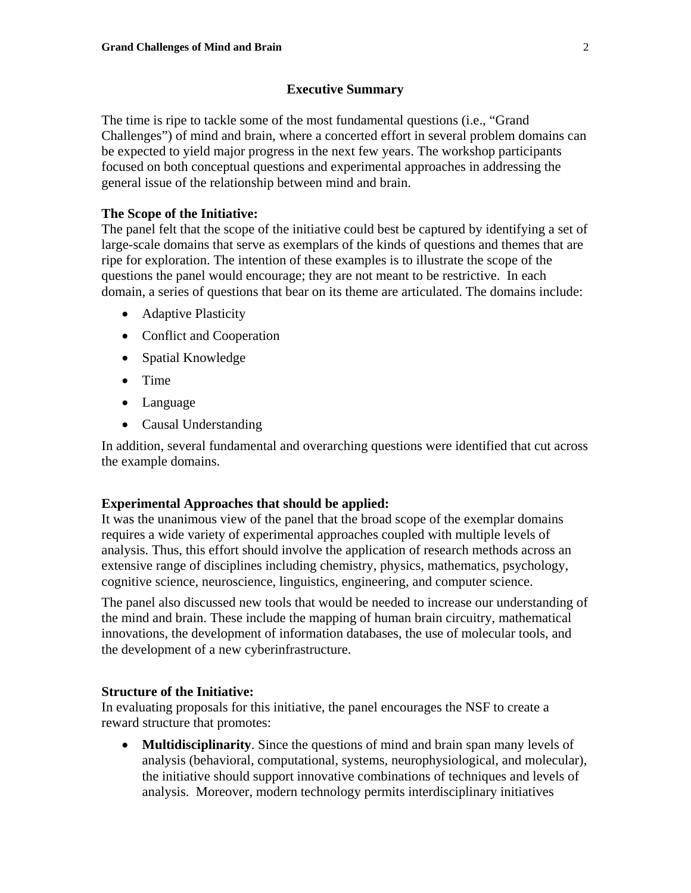### **Executive Summary**

The time is ripe to tackle some of the most fundamental questions (i.e., "Grand Challenges") of mind and brain, where a concerted effort in several problem domains can be expected to yield major progress in the next few years. The workshop participants focused on both conceptual questions and experimental approaches in addressing the general issue of the relationship between mind and brain.

# **The Scope of the Initiative:**

The panel felt that the scope of the initiative could best be captured by identifying a set of large-scale domains that serve as exemplars of the kinds of questions and themes that are ripe for exploration. The intention of these examples is to illustrate the scope of the questions the panel would encourage; they are not meant to be restrictive. In each domain, a series of questions that bear on its theme are articulated. The domains include:

- Adaptive Plasticity
- Conflict and Cooperation
- Spatial Knowledge
- Time
- Language
- Causal Understanding

In addition, several fundamental and overarching questions were identified that cut across the example domains.

#### **Experimental Approaches that should be applied:**

It was the unanimous view of the panel that the broad scope of the exemplar domains requires a wide variety of experimental approaches coupled with multiple levels of analysis. Thus, this effort should involve the application of research methods across an extensive range of disciplines including chemistry, physics, mathematics, psychology, cognitive science, neuroscience, linguistics, engineering, and computer science.

The panel also discussed new tools that would be needed to increase our understanding of the mind and brain. These include the mapping of human brain circuitry, mathematical innovations, the development of information databases, the use of molecular tools, and the development of a new cyberinfrastructure.

# **Structure of the Initiative:**

In evaluating proposals for this initiative, the panel encourages the NSF to create a reward structure that promotes:

• **Multidisciplinarity**. Since the questions of mind and brain span many levels of analysis (behavioral, computational, systems, neurophysiological, and molecular), the initiative should support innovative combinations of techniques and levels of analysis. Moreover, modern technology permits interdisciplinary initiatives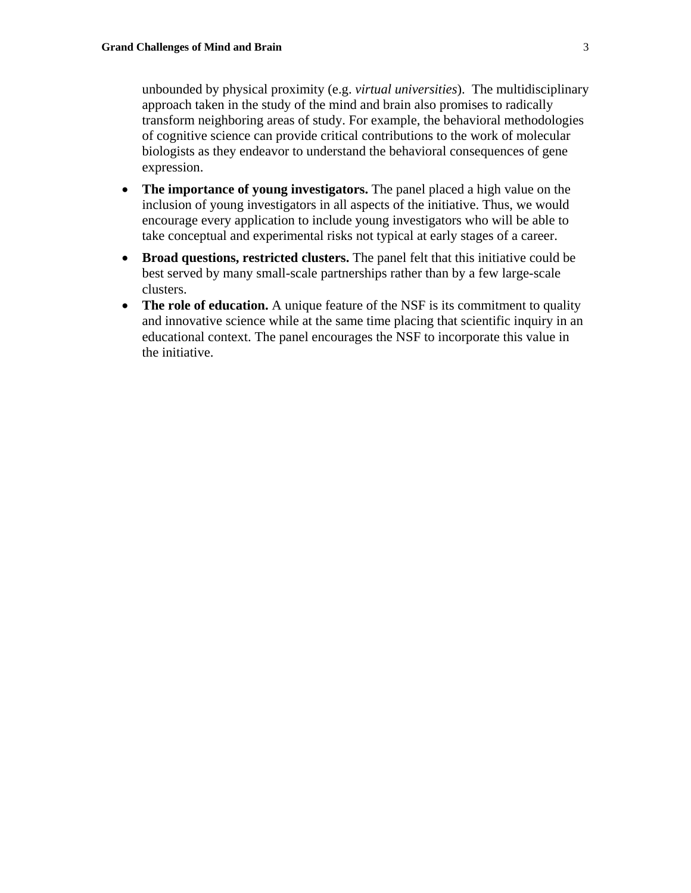unbounded by physical proximity (e.g. *virtual universities*). The multidisciplinary approach taken in the study of the mind and brain also promises to radically transform neighboring areas of study. For example, the behavioral methodologies of cognitive science can provide critical contributions to the work of molecular biologists as they endeavor to understand the behavioral consequences of gene expression.

- **The importance of young investigators.** The panel placed a high value on the inclusion of young investigators in all aspects of the initiative. Thus, we would encourage every application to include young investigators who will be able to take conceptual and experimental risks not typical at early stages of a career.
- **Broad questions, restricted clusters.** The panel felt that this initiative could be best served by many small-scale partnerships rather than by a few large-scale clusters.
- **The role of education.** A unique feature of the NSF is its commitment to quality and innovative science while at the same time placing that scientific inquiry in an educational context. The panel encourages the NSF to incorporate this value in the initiative.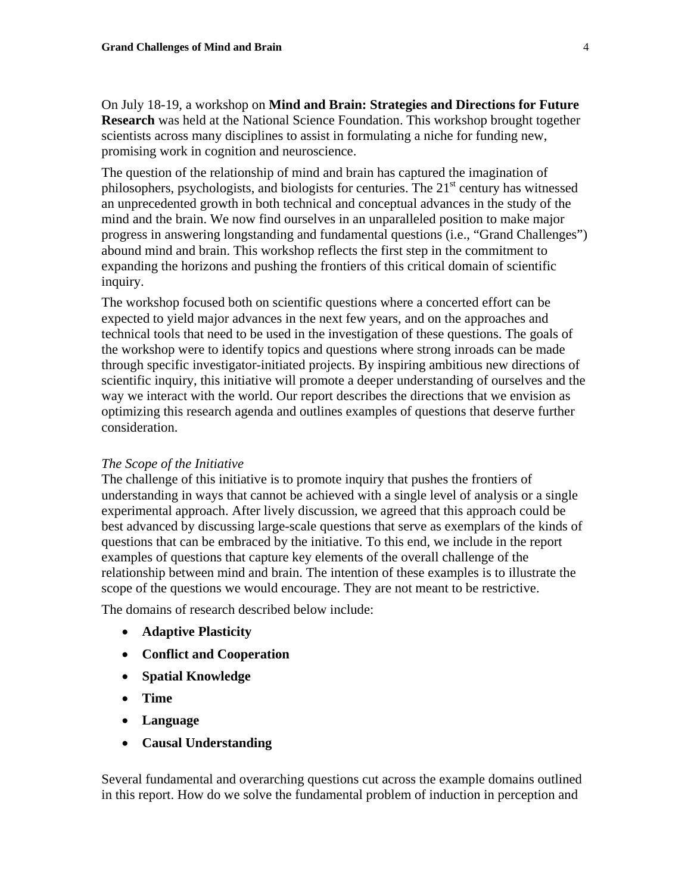On July 18-19, a workshop on **Mind and Brain: Strategies and Directions for Future Research** was held at the National Science Foundation. This workshop brought together scientists across many disciplines to assist in formulating a niche for funding new, promising work in cognition and neuroscience.

The question of the relationship of mind and brain has captured the imagination of philosophers, psychologists, and biologists for centuries. The  $21<sup>st</sup>$  century has witnessed an unprecedented growth in both technical and conceptual advances in the study of the mind and the brain. We now find ourselves in an unparalleled position to make major progress in answering longstanding and fundamental questions (i.e., "Grand Challenges") abound mind and brain. This workshop reflects the first step in the commitment to expanding the horizons and pushing the frontiers of this critical domain of scientific inquiry.

The workshop focused both on scientific questions where a concerted effort can be expected to yield major advances in the next few years, and on the approaches and technical tools that need to be used in the investigation of these questions. The goals of the workshop were to identify topics and questions where strong inroads can be made through specific investigator-initiated projects. By inspiring ambitious new directions of scientific inquiry, this initiative will promote a deeper understanding of ourselves and the way we interact with the world. Our report describes the directions that we envision as optimizing this research agenda and outlines examples of questions that deserve further consideration.

# *The Scope of the Initiative*

The challenge of this initiative is to promote inquiry that pushes the frontiers of understanding in ways that cannot be achieved with a single level of analysis or a single experimental approach. After lively discussion, we agreed that this approach could be best advanced by discussing large-scale questions that serve as exemplars of the kinds of questions that can be embraced by the initiative. To this end, we include in the report examples of questions that capture key elements of the overall challenge of the relationship between mind and brain. The intention of these examples is to illustrate the scope of the questions we would encourage. They are not meant to be restrictive.

The domains of research described below include:

- **Adaptive Plasticity**
- **Conflict and Cooperation**
- **Spatial Knowledge**
- **Time**
- **Language**
- **Causal Understanding**

Several fundamental and overarching questions cut across the example domains outlined in this report. How do we solve the fundamental problem of induction in perception and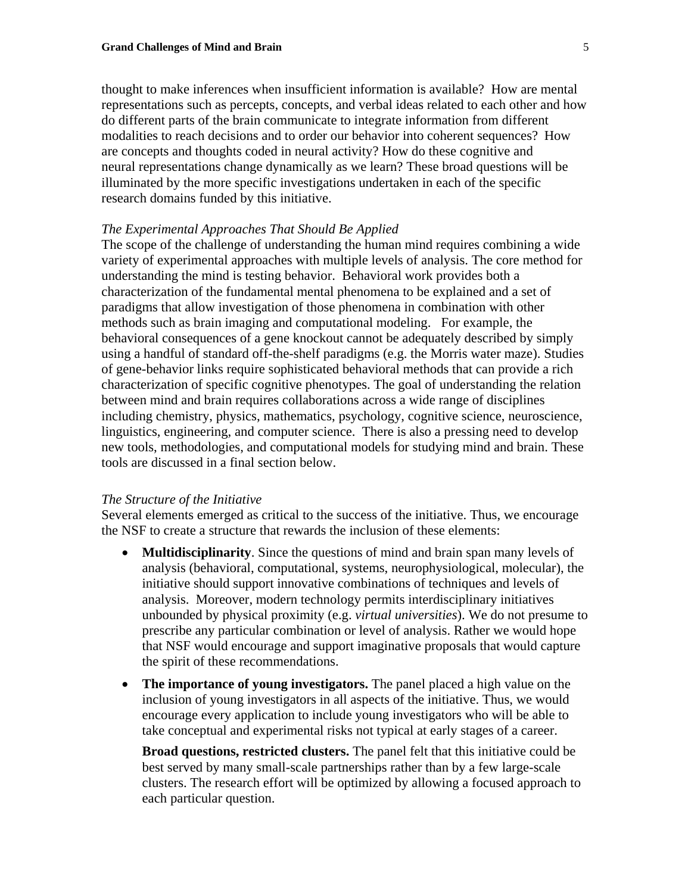thought to make inferences when insufficient information is available? How are mental representations such as percepts, concepts, and verbal ideas related to each other and how do different parts of the brain communicate to integrate information from different modalities to reach decisions and to order our behavior into coherent sequences? How are concepts and thoughts coded in neural activity? How do these cognitive and neural representations change dynamically as we learn? These broad questions will be illuminated by the more specific investigations undertaken in each of the specific research domains funded by this initiative.

#### *The Experimental Approaches That Should Be Applied*

The scope of the challenge of understanding the human mind requires combining a wide variety of experimental approaches with multiple levels of analysis. The core method for understanding the mind is testing behavior. Behavioral work provides both a characterization of the fundamental mental phenomena to be explained and a set of paradigms that allow investigation of those phenomena in combination with other methods such as brain imaging and computational modeling. For example, the behavioral consequences of a gene knockout cannot be adequately described by simply using a handful of standard off-the-shelf paradigms (e.g. the Morris water maze). Studies of gene-behavior links require sophisticated behavioral methods that can provide a rich characterization of specific cognitive phenotypes. The goal of understanding the relation between mind and brain requires collaborations across a wide range of disciplines including chemistry, physics, mathematics, psychology, cognitive science, neuroscience, linguistics, engineering, and computer science. There is also a pressing need to develop new tools, methodologies, and computational models for studying mind and brain. These tools are discussed in a final section below.

#### *The Structure of the Initiative*

Several elements emerged as critical to the success of the initiative. Thus, we encourage the NSF to create a structure that rewards the inclusion of these elements:

- **Multidisciplinarity**. Since the questions of mind and brain span many levels of analysis (behavioral, computational, systems, neurophysiological, molecular), the initiative should support innovative combinations of techniques and levels of analysis. Moreover, modern technology permits interdisciplinary initiatives unbounded by physical proximity (e.g. *virtual universities*). We do not presume to prescribe any particular combination or level of analysis. Rather we would hope that NSF would encourage and support imaginative proposals that would capture the spirit of these recommendations.
- **The importance of young investigators.** The panel placed a high value on the inclusion of young investigators in all aspects of the initiative. Thus, we would encourage every application to include young investigators who will be able to take conceptual and experimental risks not typical at early stages of a career.

**Broad questions, restricted clusters.** The panel felt that this initiative could be best served by many small-scale partnerships rather than by a few large-scale clusters. The research effort will be optimized by allowing a focused approach to each particular question.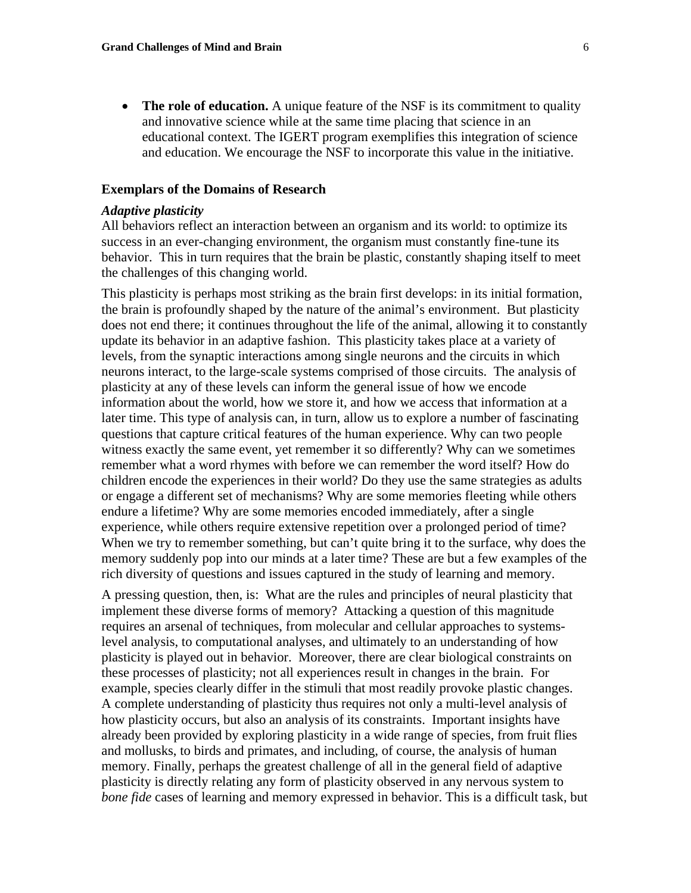• **The role of education.** A unique feature of the NSF is its commitment to quality and innovative science while at the same time placing that science in an educational context. The IGERT program exemplifies this integration of science and education. We encourage the NSF to incorporate this value in the initiative.

### **Exemplars of the Domains of Research**

### *Adaptive plasticity*

All behaviors reflect an interaction between an organism and its world: to optimize its success in an ever-changing environment, the organism must constantly fine-tune its behavior. This in turn requires that the brain be plastic, constantly shaping itself to meet the challenges of this changing world.

This plasticity is perhaps most striking as the brain first develops: in its initial formation, the brain is profoundly shaped by the nature of the animal's environment. But plasticity does not end there; it continues throughout the life of the animal, allowing it to constantly update its behavior in an adaptive fashion. This plasticity takes place at a variety of levels, from the synaptic interactions among single neurons and the circuits in which neurons interact, to the large-scale systems comprised of those circuits. The analysis of plasticity at any of these levels can inform the general issue of how we encode information about the world, how we store it, and how we access that information at a later time. This type of analysis can, in turn, allow us to explore a number of fascinating questions that capture critical features of the human experience. Why can two people witness exactly the same event, yet remember it so differently? Why can we sometimes remember what a word rhymes with before we can remember the word itself? How do children encode the experiences in their world? Do they use the same strategies as adults or engage a different set of mechanisms? Why are some memories fleeting while others endure a lifetime? Why are some memories encoded immediately, after a single experience, while others require extensive repetition over a prolonged period of time? When we try to remember something, but can't quite bring it to the surface, why does the memory suddenly pop into our minds at a later time? These are but a few examples of the rich diversity of questions and issues captured in the study of learning and memory.

A pressing question, then, is: What are the rules and principles of neural plasticity that implement these diverse forms of memory? Attacking a question of this magnitude requires an arsenal of techniques, from molecular and cellular approaches to systemslevel analysis, to computational analyses, and ultimately to an understanding of how plasticity is played out in behavior. Moreover, there are clear biological constraints on these processes of plasticity; not all experiences result in changes in the brain. For example, species clearly differ in the stimuli that most readily provoke plastic changes. A complete understanding of plasticity thus requires not only a multi-level analysis of how plasticity occurs, but also an analysis of its constraints. Important insights have already been provided by exploring plasticity in a wide range of species, from fruit flies and mollusks, to birds and primates, and including, of course, the analysis of human memory. Finally, perhaps the greatest challenge of all in the general field of adaptive plasticity is directly relating any form of plasticity observed in any nervous system to *bone fide* cases of learning and memory expressed in behavior. This is a difficult task, but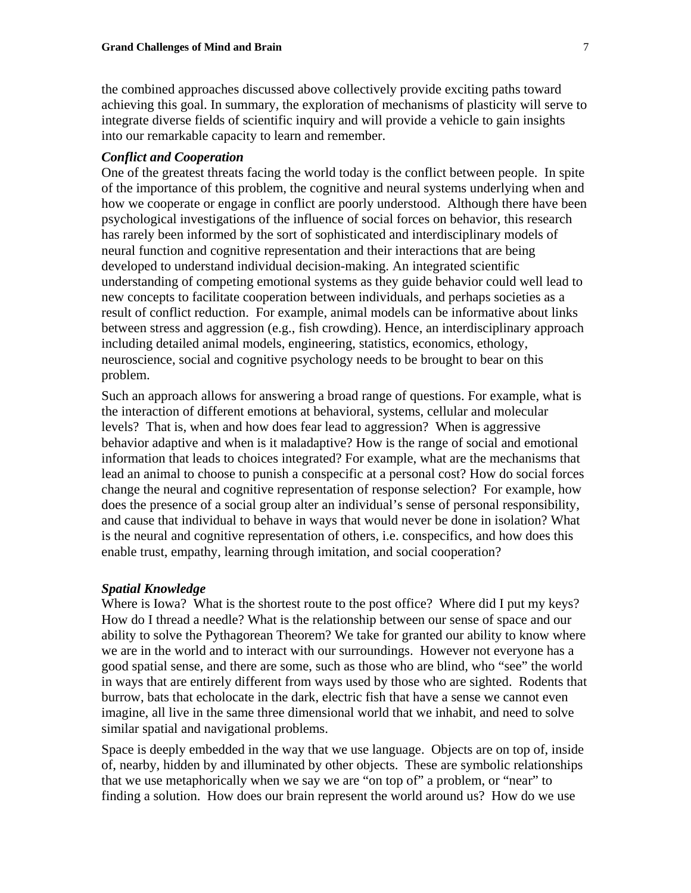the combined approaches discussed above collectively provide exciting paths toward achieving this goal. In summary, the exploration of mechanisms of plasticity will serve to integrate diverse fields of scientific inquiry and will provide a vehicle to gain insights into our remarkable capacity to learn and remember.

#### *Conflict and Cooperation*

One of the greatest threats facing the world today is the conflict between people. In spite of the importance of this problem, the cognitive and neural systems underlying when and how we cooperate or engage in conflict are poorly understood. Although there have been psychological investigations of the influence of social forces on behavior, this research has rarely been informed by the sort of sophisticated and interdisciplinary models of neural function and cognitive representation and their interactions that are being developed to understand individual decision-making. An integrated scientific understanding of competing emotional systems as they guide behavior could well lead to new concepts to facilitate cooperation between individuals, and perhaps societies as a result of conflict reduction. For example, animal models can be informative about links between stress and aggression (e.g., fish crowding). Hence, an interdisciplinary approach including detailed animal models, engineering, statistics, economics, ethology, neuroscience, social and cognitive psychology needs to be brought to bear on this problem.

Such an approach allows for answering a broad range of questions. For example, what is the interaction of different emotions at behavioral, systems, cellular and molecular levels? That is, when and how does fear lead to aggression? When is aggressive behavior adaptive and when is it maladaptive? How is the range of social and emotional information that leads to choices integrated? For example, what are the mechanisms that lead an animal to choose to punish a conspecific at a personal cost? How do social forces change the neural and cognitive representation of response selection? For example, how does the presence of a social group alter an individual's sense of personal responsibility, and cause that individual to behave in ways that would never be done in isolation? What is the neural and cognitive representation of others, i.e. conspecifics, and how does this enable trust, empathy, learning through imitation, and social cooperation?

#### *Spatial Knowledge*

Where is Iowa? What is the shortest route to the post office? Where did I put my keys? How do I thread a needle? What is the relationship between our sense of space and our ability to solve the Pythagorean Theorem? We take for granted our ability to know where we are in the world and to interact with our surroundings. However not everyone has a good spatial sense, and there are some, such as those who are blind, who "see" the world in ways that are entirely different from ways used by those who are sighted. Rodents that burrow, bats that echolocate in the dark, electric fish that have a sense we cannot even imagine, all live in the same three dimensional world that we inhabit, and need to solve similar spatial and navigational problems.

Space is deeply embedded in the way that we use language. Objects are on top of, inside of, nearby, hidden by and illuminated by other objects. These are symbolic relationships that we use metaphorically when we say we are "on top of" a problem, or "near" to finding a solution. How does our brain represent the world around us? How do we use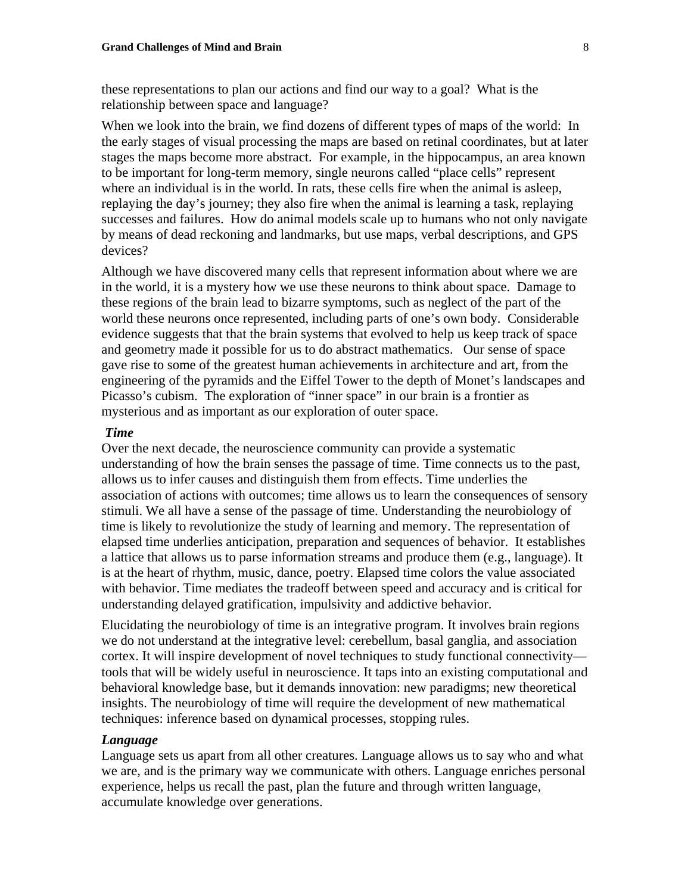these representations to plan our actions and find our way to a goal? What is the relationship between space and language?

When we look into the brain, we find dozens of different types of maps of the world: In the early stages of visual processing the maps are based on retinal coordinates, but at later stages the maps become more abstract. For example, in the hippocampus, an area known to be important for long-term memory, single neurons called "place cells" represent where an individual is in the world. In rats, these cells fire when the animal is asleep, replaying the day's journey; they also fire when the animal is learning a task, replaying successes and failures. How do animal models scale up to humans who not only navigate by means of dead reckoning and landmarks, but use maps, verbal descriptions, and GPS devices?

Although we have discovered many cells that represent information about where we are in the world, it is a mystery how we use these neurons to think about space. Damage to these regions of the brain lead to bizarre symptoms, such as neglect of the part of the world these neurons once represented, including parts of one's own body. Considerable evidence suggests that that the brain systems that evolved to help us keep track of space and geometry made it possible for us to do abstract mathematics. Our sense of space gave rise to some of the greatest human achievements in architecture and art, from the engineering of the pyramids and the Eiffel Tower to the depth of Monet's landscapes and Picasso's cubism. The exploration of "inner space" in our brain is a frontier as mysterious and as important as our exploration of outer space.

### *Time*

Over the next decade, the neuroscience community can provide a systematic understanding of how the brain senses the passage of time. Time connects us to the past, allows us to infer causes and distinguish them from effects. Time underlies the association of actions with outcomes; time allows us to learn the consequences of sensory stimuli. We all have a sense of the passage of time. Understanding the neurobiology of time is likely to revolutionize the study of learning and memory. The representation of elapsed time underlies anticipation, preparation and sequences of behavior. It establishes a lattice that allows us to parse information streams and produce them (e.g., language). It is at the heart of rhythm, music, dance, poetry. Elapsed time colors the value associated with behavior. Time mediates the tradeoff between speed and accuracy and is critical for understanding delayed gratification, impulsivity and addictive behavior.

Elucidating the neurobiology of time is an integrative program. It involves brain regions we do not understand at the integrative level: cerebellum, basal ganglia, and association cortex. It will inspire development of novel techniques to study functional connectivity tools that will be widely useful in neuroscience. It taps into an existing computational and behavioral knowledge base, but it demands innovation: new paradigms; new theoretical insights. The neurobiology of time will require the development of new mathematical techniques: inference based on dynamical processes, stopping rules.

# *Language*

Language sets us apart from all other creatures. Language allows us to say who and what we are, and is the primary way we communicate with others. Language enriches personal experience, helps us recall the past, plan the future and through written language, accumulate knowledge over generations.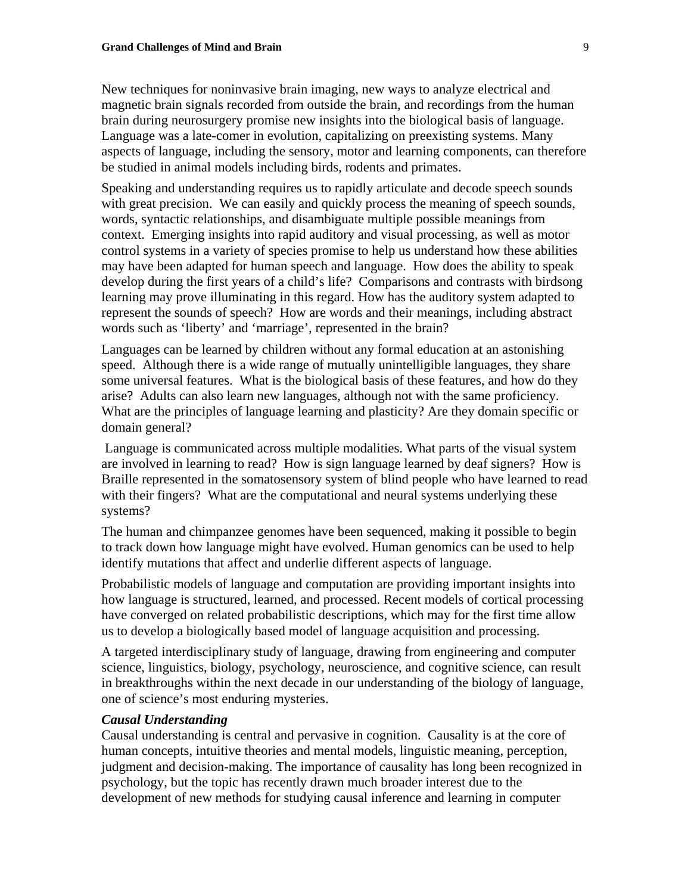New techniques for noninvasive brain imaging, new ways to analyze electrical and magnetic brain signals recorded from outside the brain, and recordings from the human brain during neurosurgery promise new insights into the biological basis of language. Language was a late-comer in evolution, capitalizing on preexisting systems. Many aspects of language, including the sensory, motor and learning components, can therefore be studied in animal models including birds, rodents and primates.

Speaking and understanding requires us to rapidly articulate and decode speech sounds with great precision. We can easily and quickly process the meaning of speech sounds, words, syntactic relationships, and disambiguate multiple possible meanings from context. Emerging insights into rapid auditory and visual processing, as well as motor control systems in a variety of species promise to help us understand how these abilities may have been adapted for human speech and language. How does the ability to speak develop during the first years of a child's life? Comparisons and contrasts with birdsong learning may prove illuminating in this regard. How has the auditory system adapted to represent the sounds of speech? How are words and their meanings, including abstract words such as 'liberty' and 'marriage', represented in the brain?

Languages can be learned by children without any formal education at an astonishing speed. Although there is a wide range of mutually unintelligible languages, they share some universal features. What is the biological basis of these features, and how do they arise? Adults can also learn new languages, although not with the same proficiency. What are the principles of language learning and plasticity? Are they domain specific or domain general?

 Language is communicated across multiple modalities. What parts of the visual system are involved in learning to read? How is sign language learned by deaf signers? How is Braille represented in the somatosensory system of blind people who have learned to read with their fingers? What are the computational and neural systems underlying these systems?

The human and chimpanzee genomes have been sequenced, making it possible to begin to track down how language might have evolved. Human genomics can be used to help identify mutations that affect and underlie different aspects of language.

Probabilistic models of language and computation are providing important insights into how language is structured, learned, and processed. Recent models of cortical processing have converged on related probabilistic descriptions, which may for the first time allow us to develop a biologically based model of language acquisition and processing.

A targeted interdisciplinary study of language, drawing from engineering and computer science, linguistics, biology, psychology, neuroscience, and cognitive science, can result in breakthroughs within the next decade in our understanding of the biology of language, one of science's most enduring mysteries.

### *Causal Understanding*

Causal understanding is central and pervasive in cognition. Causality is at the core of human concepts, intuitive theories and mental models, linguistic meaning, perception, judgment and decision-making. The importance of causality has long been recognized in psychology, but the topic has recently drawn much broader interest due to the development of new methods for studying causal inference and learning in computer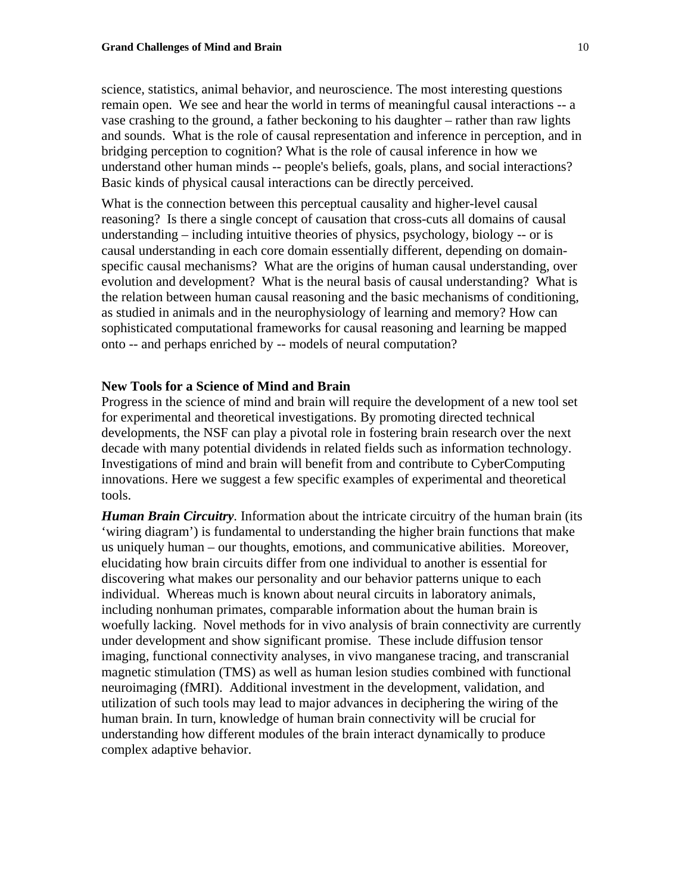science, statistics, animal behavior, and neuroscience. The most interesting questions remain open. We see and hear the world in terms of meaningful causal interactions -- a vase crashing to the ground, a father beckoning to his daughter – rather than raw lights and sounds. What is the role of causal representation and inference in perception, and in bridging perception to cognition? What is the role of causal inference in how we understand other human minds -- people's beliefs, goals, plans, and social interactions? Basic kinds of physical causal interactions can be directly perceived.

What is the connection between this perceptual causality and higher-level causal reasoning? Is there a single concept of causation that cross-cuts all domains of causal understanding – including intuitive theories of physics, psychology, biology -- or is causal understanding in each core domain essentially different, depending on domainspecific causal mechanisms? What are the origins of human causal understanding, over evolution and development? What is the neural basis of causal understanding? What is the relation between human causal reasoning and the basic mechanisms of conditioning, as studied in animals and in the neurophysiology of learning and memory? How can sophisticated computational frameworks for causal reasoning and learning be mapped onto -- and perhaps enriched by -- models of neural computation?

# **New Tools for a Science of Mind and Brain**

Progress in the science of mind and brain will require the development of a new tool set for experimental and theoretical investigations. By promoting directed technical developments, the NSF can play a pivotal role in fostering brain research over the next decade with many potential dividends in related fields such as information technology. Investigations of mind and brain will benefit from and contribute to CyberComputing innovations. Here we suggest a few specific examples of experimental and theoretical tools.

*Human Brain Circuitry.* Information about the intricate circuitry of the human brain (its 'wiring diagram') is fundamental to understanding the higher brain functions that make us uniquely human – our thoughts, emotions, and communicative abilities. Moreover, elucidating how brain circuits differ from one individual to another is essential for discovering what makes our personality and our behavior patterns unique to each individual. Whereas much is known about neural circuits in laboratory animals, including nonhuman primates, comparable information about the human brain is woefully lacking. Novel methods for in vivo analysis of brain connectivity are currently under development and show significant promise. These include diffusion tensor imaging, functional connectivity analyses, in vivo manganese tracing, and transcranial magnetic stimulation (TMS) as well as human lesion studies combined with functional neuroimaging (fMRI). Additional investment in the development, validation, and utilization of such tools may lead to major advances in deciphering the wiring of the human brain. In turn, knowledge of human brain connectivity will be crucial for understanding how different modules of the brain interact dynamically to produce complex adaptive behavior.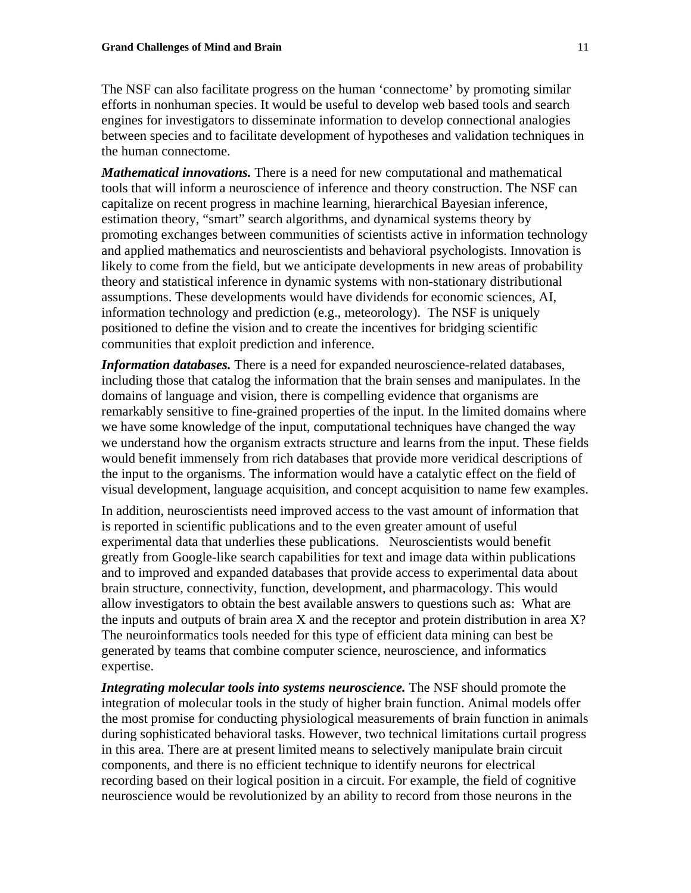The NSF can also facilitate progress on the human 'connectome' by promoting similar efforts in nonhuman species. It would be useful to develop web based tools and search engines for investigators to disseminate information to develop connectional analogies between species and to facilitate development of hypotheses and validation techniques in the human connectome.

*Mathematical innovations.* There is a need for new computational and mathematical tools that will inform a neuroscience of inference and theory construction. The NSF can capitalize on recent progress in machine learning, hierarchical Bayesian inference, estimation theory, "smart" search algorithms, and dynamical systems theory by promoting exchanges between communities of scientists active in information technology and applied mathematics and neuroscientists and behavioral psychologists. Innovation is likely to come from the field, but we anticipate developments in new areas of probability theory and statistical inference in dynamic systems with non-stationary distributional assumptions. These developments would have dividends for economic sciences, AI, information technology and prediction (e.g., meteorology). The NSF is uniquely positioned to define the vision and to create the incentives for bridging scientific communities that exploit prediction and inference.

*Information databases.* There is a need for expanded neuroscience-related databases, including those that catalog the information that the brain senses and manipulates. In the domains of language and vision, there is compelling evidence that organisms are remarkably sensitive to fine-grained properties of the input. In the limited domains where we have some knowledge of the input, computational techniques have changed the way we understand how the organism extracts structure and learns from the input. These fields would benefit immensely from rich databases that provide more veridical descriptions of the input to the organisms. The information would have a catalytic effect on the field of visual development, language acquisition, and concept acquisition to name few examples.

In addition, neuroscientists need improved access to the vast amount of information that is reported in scientific publications and to the even greater amount of useful experimental data that underlies these publications. Neuroscientists would benefit greatly from Google-like search capabilities for text and image data within publications and to improved and expanded databases that provide access to experimental data about brain structure, connectivity, function, development, and pharmacology. This would allow investigators to obtain the best available answers to questions such as: What are the inputs and outputs of brain area X and the receptor and protein distribution in area X? The neuroinformatics tools needed for this type of efficient data mining can best be generated by teams that combine computer science, neuroscience, and informatics expertise.

*Integrating molecular tools into systems neuroscience.* The NSF should promote the integration of molecular tools in the study of higher brain function. Animal models offer the most promise for conducting physiological measurements of brain function in animals during sophisticated behavioral tasks. However, two technical limitations curtail progress in this area. There are at present limited means to selectively manipulate brain circuit components, and there is no efficient technique to identify neurons for electrical recording based on their logical position in a circuit. For example, the field of cognitive neuroscience would be revolutionized by an ability to record from those neurons in the